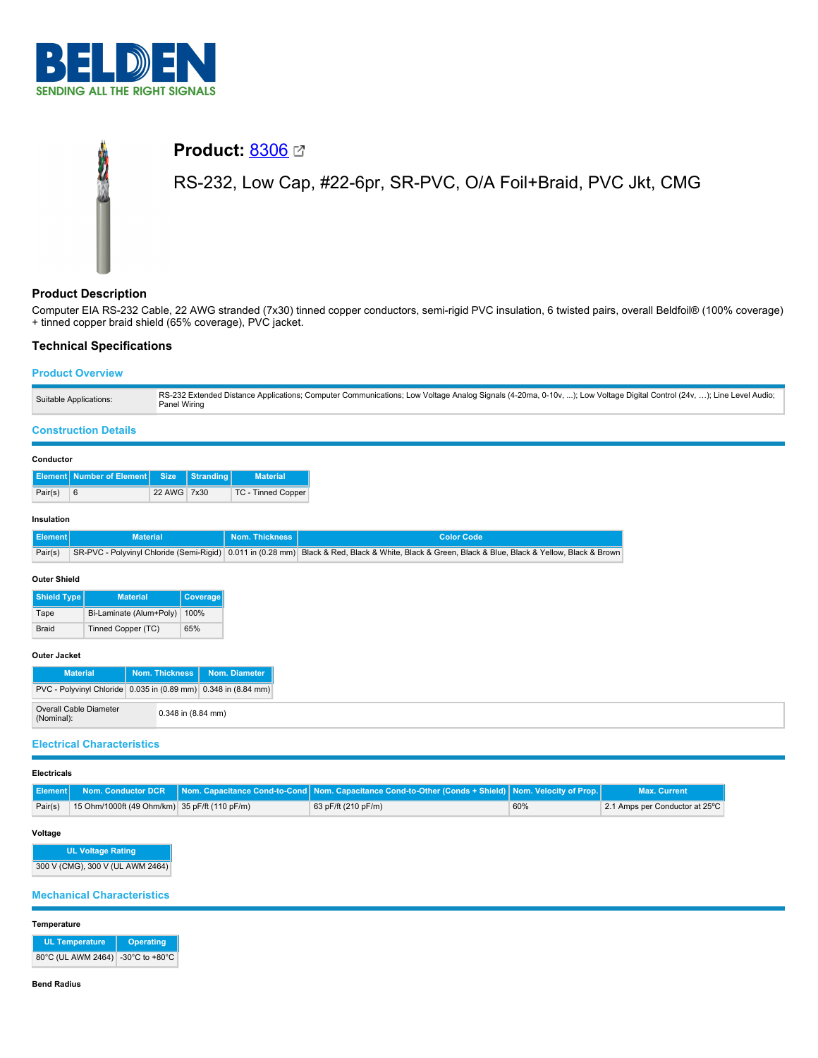

# **Product: [8306](https://catalog.belden.com/index.cfm?event=pd&p=PF_8306&tab=downloads) ⊠**

RS-232, Low Cap, #22-6pr, SR-PVC, O/A Foil+Braid, PVC Jkt, CMG

# **Product Description**

Computer EIA RS-232 Cable, 22 AWG stranded (7x30) tinned copper conductors, semi-rigid PVC insulation, 6 twisted pairs, overall Beldfoil® (100% coverage) + tinned copper braid shield (65% coverage), PVC jacket.

## **Technical Specifications**

## **Product Overview**

#### **Construction Details**

#### **Conductor**

|         | Element Number of Element Size Stranding |             | <b>Material</b>           |
|---------|------------------------------------------|-------------|---------------------------|
| Pair(s) | -6                                       | 22 AWG 7x30 | <b>TC - Tinned Copper</b> |

#### **Insulation**

| Il Element l | <b>Material</b> | Nom. Thickness N | Color Code                                                                                                                                             |
|--------------|-----------------|------------------|--------------------------------------------------------------------------------------------------------------------------------------------------------|
| Pair(s)      |                 |                  | SR-PVC - Polyvinyl Chloride (Semi-Rigid)   0.011 in (0.28 mm)   Black & Red, Black & White, Black & Green, Black & Blue, Black & Yellow, Black & Brown |

#### **Outer Shield**

| <b>Shield Type</b> | <b>Material</b>         | Coverage |
|--------------------|-------------------------|----------|
| Tape               | Bi-Laminate (Alum+Poly) | 100%     |
| <b>Braid</b>       | Tinned Copper (TC)      | 65%      |

#### **Outer Jacket**

| <b>Material</b>                                                | Nom. Thickness   Nom. Diameter |
|----------------------------------------------------------------|--------------------------------|
| PVC - Polyvinyl Chloride 0.035 in (0.89 mm) 0.348 in (8.84 mm) |                                |
| Overall Cable Diameter<br>(Nominal):                           | 0.348 in (8.84 mm)             |

#### **Electrical Characteristics**

#### **Electricals**

|         |                                               | Flement Nom. Conductor DCR Nom. Capacitance Cond-to-Cond Nom. Capacitance Cond-to-Other (Conds + Shield) Nom. Velocity of Prop. |     | <b>Max. Current</b>            |
|---------|-----------------------------------------------|---------------------------------------------------------------------------------------------------------------------------------|-----|--------------------------------|
| Pair(s) | 15 Ohm/1000ft (49 Ohm/km) 35 pF/ft (110 pF/m) | 63 pF/ft (210 pF/m)                                                                                                             | 60% | 2.1 Amps per Conductor at 25°C |

#### **Voltage**

| <b>UL Voltage Rating</b>         |  |
|----------------------------------|--|
| 300 V (CMG), 300 V (UL AWM 2464) |  |

## **Mechanical Characteristics**

#### **Temperature**

| UL Temperature                    | Operating |  |
|-----------------------------------|-----------|--|
| 80°C (UL AWM 2464) -30°C to +80°C |           |  |

#### **Bend Radius**